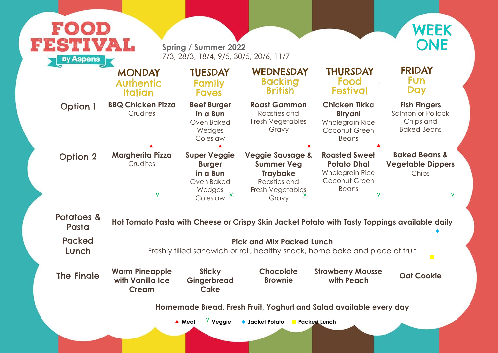### **Fish Fingers**

Salmon or Pollock Chips and Baked Beans

### **Baked Beans & Vegetable Dippers** Chips

 $\mathbf V$ 

## p<mark>ings available daily</mark>

 $\overline{\phantom{a}}$ 

ece of fruit

|                     | <b>MONDAY</b>                                                      | <b>TUESDAY</b>                                                                       | WEDNESDAY                                                                                                        | <b>THURSDAY</b>                                                                                            |  |  |
|---------------------|--------------------------------------------------------------------|--------------------------------------------------------------------------------------|------------------------------------------------------------------------------------------------------------------|------------------------------------------------------------------------------------------------------------|--|--|
|                     | <b>Authentic</b>                                                   | <b>Family</b>                                                                        | <b>Backing</b>                                                                                                   | Food                                                                                                       |  |  |
|                     | <b>Italian</b>                                                     | <b>Faves</b>                                                                         | <b>British</b>                                                                                                   | <b>Festival</b>                                                                                            |  |  |
| <b>Option 1</b>     | <b>BBQ Chicken Pizza</b><br>Crudites                               | <b>Beef Burger</b><br>in a Bun<br>Oven Baked<br>Wedges<br>Coleslaw                   | <b>Roast Gammon</b><br>Roasties and<br>Fresh Vegetables<br>Gravy                                                 | <b>Chicken Tikka</b><br><b>Biryani</b><br><b>Wholegrain Rice</b><br>Coconut Green<br><b>Beans</b>          |  |  |
| <b>Option 2</b>     | <b>Margherita Pizza</b><br>Crudites<br>V                           | <b>Super Veggie</b><br><b>Burger</b><br>in a Bun<br>Oven Baked<br>Wedges<br>Coleslaw | <b>Veggie Sausage &amp;</b><br><b>Summer Veg</b><br><b>Traybake</b><br>Roasties and<br>Fresh Vegetables<br>Gravy | <b>Roasted Sweet</b><br><b>Potato Dhal</b><br><b>Wholegrain Rice</b><br>Coconut Green<br><b>Beans</b><br>V |  |  |
| Potatoes &<br>Pasta |                                                                    |                                                                                      | Hot Tomato Pasta with Cheese or Crispy Skin Jacket Potato with Tasty Toppi                                       |                                                                                                            |  |  |
| <b>Packed</b>       | <b>Pick and Mix Packed Lunch</b>                                   |                                                                                      |                                                                                                                  |                                                                                                            |  |  |
| Lunch               | Freshly filled sandwich or roll, healthy snack, home bake and pied |                                                                                      |                                                                                                                  |                                                                                                            |  |  |
| The Finale          | <b>Warm Pineapple</b>                                              | <b>Sticky</b>                                                                        | <b>Chocolate</b>                                                                                                 | <b>Strawberry Mousse</b>                                                                                   |  |  |
|                     | with Vanilla Ice                                                   | <b>Gingerbread</b>                                                                   | <b>Brownie</b>                                                                                                   | with Peach                                                                                                 |  |  |



## **FRIDAY Fun** Day

**with Peach Oat Cookie**

very day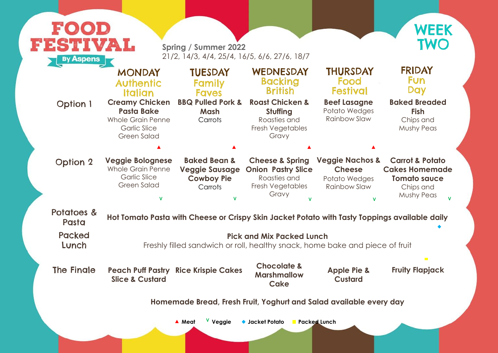#### **Baked Breaded Fish** Chips and Mushy Peas

| FESTIVAL<br><b>By Aspens</b> |                                                                                                                     | <b>Spring / Summer 2022</b><br>21/2, 14/3, 4/4, 25/4, 16/5, 6/6, 27/6, 18/7                   |                                                                                                      |                                                                                     | WEEK<br><b>TWO</b>                                                                                           |  |
|------------------------------|---------------------------------------------------------------------------------------------------------------------|-----------------------------------------------------------------------------------------------|------------------------------------------------------------------------------------------------------|-------------------------------------------------------------------------------------|--------------------------------------------------------------------------------------------------------------|--|
|                              | <b>MONDAY</b><br><b>Authentic</b><br>Italian                                                                        | <b>TUESDAY</b><br><b>Family</b><br><b>Faves</b>                                               | WEDNESDAY<br><b>Backing</b><br><b>British</b>                                                        | <b>THURSDAY</b><br>Food<br><b>Festival</b>                                          | <b>FRIDAY</b><br><b>Fun</b><br><b>Day</b>                                                                    |  |
| <b>Option 1</b>              | <b>Creamy Chicken</b><br><b>Pasta Bake</b><br><b>Whole Grain Penne</b><br><b>Garlic Slice</b><br><b>Green Salad</b> | <b>BBQ Pulled Pork &amp;</b><br>Mash<br>Carrots                                               | <b>Roast Chicken &amp;</b><br>Stuffing<br>Roasties and<br>Fresh Vegetables<br>Gravy                  | <b>Beef Lasagne</b><br>Potato Wedges<br><b>Rainbow Slaw</b>                         | <b>Baked Breaded</b><br><b>Fish</b><br>Chips and<br><b>Mushy Peas</b>                                        |  |
|                              |                                                                                                                     |                                                                                               |                                                                                                      |                                                                                     |                                                                                                              |  |
| <b>Option 2</b>              | <b>Veggie Bolognese</b><br><b>Whole Grain Penne</b><br><b>Garlic Slice</b><br><b>Green Salad</b><br>$\mathbf v$     | <b>Baked Bean &amp;</b><br><b>Veggie Sausage</b><br><b>Cowboy Pie</b><br>Carrots              | <b>Cheese &amp; Spring</b><br><b>Onion Pastry Slice</b><br>Roasties and<br>Fresh Vegetables<br>Gravy | <b>Veggie Nachos &amp;</b><br><b>Cheese</b><br>Potato Wedges<br><b>Rainbow Slaw</b> | <b>Carrot &amp; Potato</b><br><b>Cakes Homemade</b><br><b>Tomato sauce</b><br>Chips and<br><b>Mushy Peas</b> |  |
| Potatoes &<br>Pasta          |                                                                                                                     | Hot Tomato Pasta with Cheese or Crispy Skin Jacket Potato with Tasty Toppings available daily |                                                                                                      |                                                                                     |                                                                                                              |  |
| <b>Packed</b><br>Lunch       | <b>Pick and Mix Packed Lunch</b><br>Freshly filled sandwich or roll, healthy snack, home bake and piece of fruit    |                                                                                               |                                                                                                      |                                                                                     |                                                                                                              |  |
| <b>The Finale</b>            | <b>Slice &amp; Custard</b>                                                                                          | <b>Peach Puff Pastry Rice Krispie Cakes</b>                                                   | <b>Chocolate &amp;</b><br><b>Marshmallow</b><br>Cake                                                 | <b>Apple Pie &amp;</b><br><b>Custard</b>                                            | $\mathcal{L}^{\mathcal{L}}$<br><b>Fruity Flapjack</b>                                                        |  |
|                              |                                                                                                                     | Homemade Bread, Fresh Fruit, Yoghurt and Salad available every day                            |                                                                                                      |                                                                                     |                                                                                                              |  |



## **FRIDAY Fun Day**